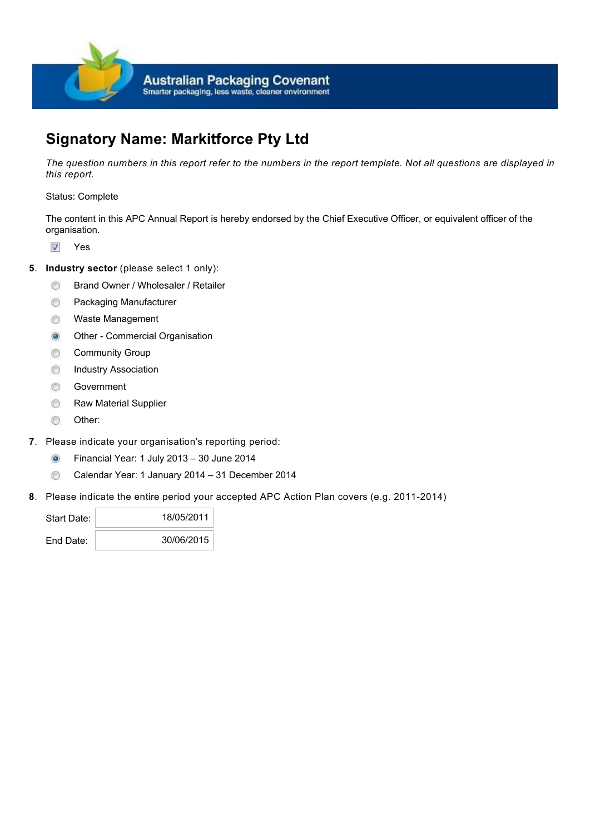

# **Signatory Name: Markitforce Pty Ltd**

*The question numbers in this report refer to the numbers in the report template. Not all questions are displayed in this report.*

# Status: Complete

The content in this APC Annual Report is hereby endorsed by the Chief Executive Officer, or equivalent officer of the organisation.

- V Yes
- **5.** Industry sector (please select 1 only):
	- Brand Owner / Wholesaler / Retailer  $\odot$
	- Packaging Manufacturer ⊜
	- Waste Management  $\circledcirc$
	- Other Commercial Organisation  $\odot$
	- Community Group  $\circledcirc$
	- ⊜ Industry Association
	- $\circledcirc$ Government
	- ⊜ Raw Material Supplier
	- $\circledcirc$ Other:
- **7**. Please indicate your organisation's reporting period:
	- $\odot$ Financial Year: 1 July 2013 – 30 June 2014
	- Calendar Year: 1 January 2014 31 December 2014  $\circledcirc$
- **8**. Please indicate the entire period your accepted APC Action Plan covers (e.g. 2011-2014)

| Start Date: | 18/05/2011 |
|-------------|------------|
| End Date:   | 30/06/2015 |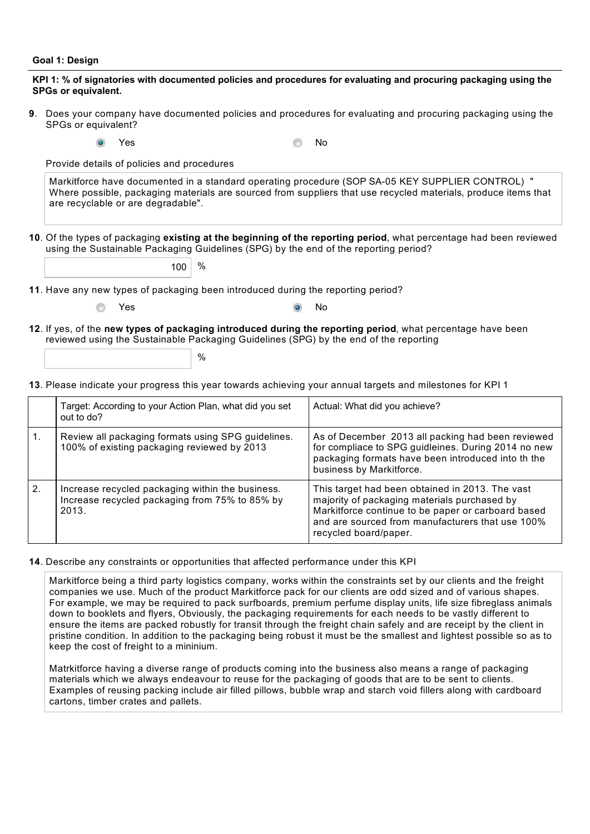#### **Goal 1: Design**

## **KPI 1: % of signatories with documented policies and procedures for evaluating and procuring packaging using the SPGs or equivalent.**

- Does your company have documented policies and procedures for evaluating and procuring packaging using the **9**. SPGs or equivalent?
	- ۵

Yes No

Provide details of policies and procedures

Markitforce have documented in a standard operating procedure (SOP SA-05 KEY SUPPLIER CONTROL) " Where possible, packaging materials are sourced from suppliers that use recycled materials, produce items that are recyclable or are degradable".

**10**. Of the types of packaging existing at the beginning of the reporting period, what percentage had been reviewed using the Sustainable Packaging Guidelines (SPG) by the end of the reporting period?

 $100 \mid %$ 

**11**. Have any new types of packaging been introduced during the reporting period?

 $\frac{0}{0}$ 

| í<br>×<br>ł |
|-------------|
|             |

6

Yes No

**12**. If yes, of the new types of packaging introduced during the reporting period, what percentage have been reviewed using the Sustainable Packaging Guidelines (SPG) by the end of the reporting

13. Please indicate your progress this year towards achieving your annual targets and milestones for KPI 1

|    | Target: According to your Action Plan, what did you set<br>out to do?                                       | Actual: What did you achieve?                                                                                                                                                                                                      |
|----|-------------------------------------------------------------------------------------------------------------|------------------------------------------------------------------------------------------------------------------------------------------------------------------------------------------------------------------------------------|
|    | Review all packaging formats using SPG guidelines.<br>100% of existing packaging reviewed by 2013           | As of December 2013 all packing had been reviewed<br>for compliace to SPG guidleines. During 2014 no new<br>packaging formats have been introduced into th the<br>business by Markitforce.                                         |
| 2. | Increase recycled packaging within the business.<br>Increase recycled packaging from 75% to 85% by<br>2013. | This target had been obtained in 2013. The vast<br>majority of packaging materials purchased by<br>Markitforce continue to be paper or carboard based<br>and are sourced from manufacturers that use 100%<br>recycled board/paper. |

#### 14. Describe any constraints or opportunities that affected performance under this KPI

Markitforce being a third party logistics company, works within the constraints set by our clients and the freight companies we use. Much of the product Markitforce pack for our clients are odd sized and of various shapes. For example, we may be required to pack surfboards, premium perfume display units, life size fibreglass animals down to booklets and flyers, Obviously, the packaging requirements for each needs to be vastly different to ensure the items are packed robustly for transit through the freight chain safely and are receipt by the client in pristine condition. In addition to the packaging being robust it must be the smallest and lightest possible so as to keep the cost of freight to a mininium.

Matrkitforce having a diverse range of products coming into the business also means a range of packaging materials which we always endeavour to reuse for the packaging of goods that are to be sent to clients. Examples of reusing packing include air filled pillows, bubble wrap and starch void fillers along with cardboard cartons, timber crates and pallets.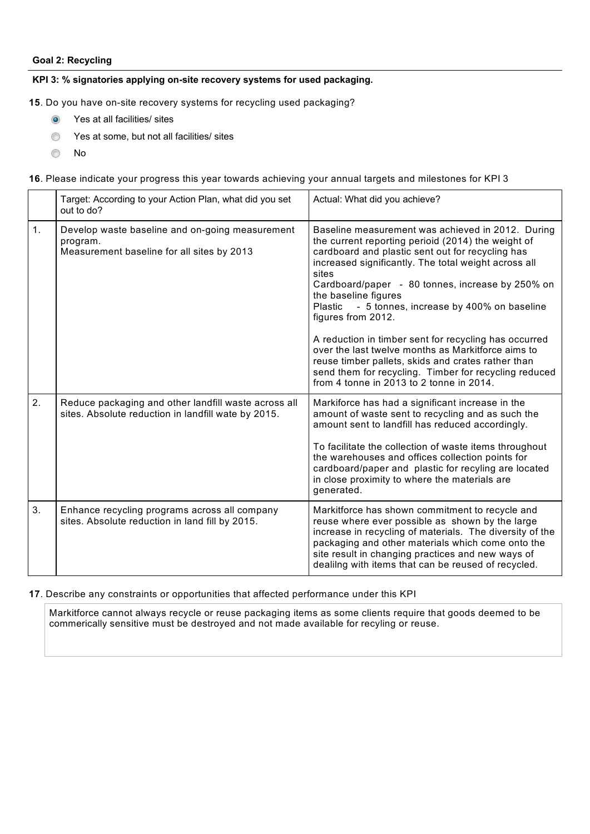# **Goal 2: Recycling**

### **KPI 3: % signatories applying on-site recovery systems for used packaging.**

**15**. Do you have on-site recovery systems for recycling used packaging?

- $\circ$ Yes at all facilities/ sites
- Yes at some, but not all facilities/ sites 0
- ⊜ No

16. Please indicate your progress this year towards achieving your annual targets and milestones for KPI 3

|    | Target: According to your Action Plan, what did you set<br>out to do?                                       | Actual: What did you achieve?                                                                                                                                                                                                                                                                                                                                                                                                                                                                                                                                                                                                                                   |
|----|-------------------------------------------------------------------------------------------------------------|-----------------------------------------------------------------------------------------------------------------------------------------------------------------------------------------------------------------------------------------------------------------------------------------------------------------------------------------------------------------------------------------------------------------------------------------------------------------------------------------------------------------------------------------------------------------------------------------------------------------------------------------------------------------|
| 1. | Develop waste baseline and on-going measurement<br>program.<br>Measurement baseline for all sites by 2013   | Baseline measurement was achieved in 2012. During<br>the current reporting perioid (2014) the weight of<br>cardboard and plastic sent out for recycling has<br>increased significantly. The total weight across all<br>sites<br>Cardboard/paper - 80 tonnes, increase by 250% on<br>the baseline figures<br>- 5 tonnes, increase by 400% on baseline<br>Plastic<br>figures from 2012.<br>A reduction in timber sent for recycling has occurred<br>over the last twelve months as Markitforce aims to<br>reuse timber pallets, skids and crates rather than<br>send them for recycling. Timber for recycling reduced<br>from 4 tonne in 2013 to 2 tonne in 2014. |
| 2. | Reduce packaging and other landfill waste across all<br>sites. Absolute reduction in landfill wate by 2015. | Markiforce has had a significant increase in the<br>amount of waste sent to recycling and as such the<br>amount sent to landfill has reduced accordingly.<br>To facilitate the collection of waste items throughout<br>the warehouses and offices collection points for<br>cardboard/paper and plastic for recyling are located<br>in close proximity to where the materials are<br>generated.                                                                                                                                                                                                                                                                  |
| 3. | Enhance recycling programs across all company<br>sites. Absolute reduction in land fill by 2015.            | Markitforce has shown commitment to recycle and<br>reuse where ever possible as shown by the large<br>increase in recycling of materials. The diversity of the<br>packaging and other materials which come onto the<br>site result in changing practices and new ways of<br>dealilng with items that can be reused of recycled.                                                                                                                                                                                                                                                                                                                                 |

#### 17. Describe any constraints or opportunities that affected performance under this KPI

Markitforce cannot always recycle or reuse packaging items as some clients require that goods deemed to be commerically sensitive must be destroyed and not made available for recyling or reuse.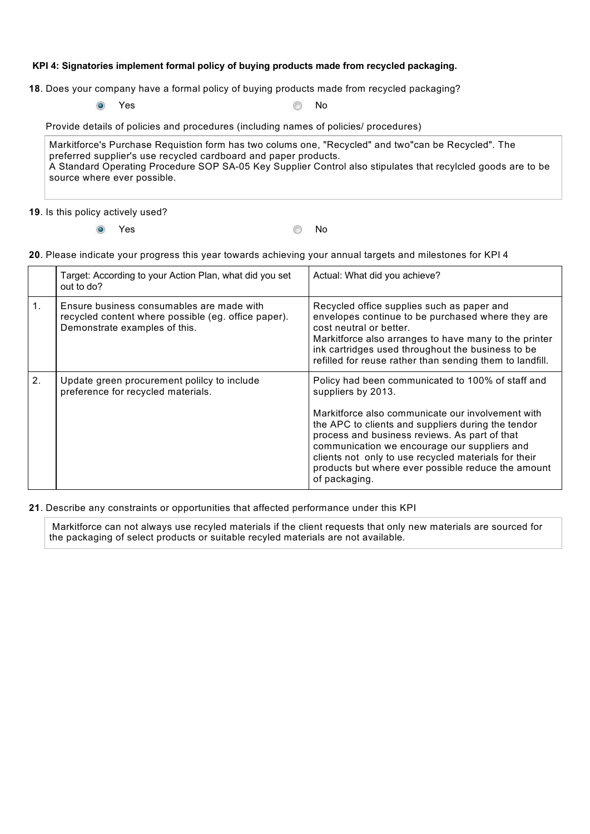# **KPI 4: Signatories implement formal policy of buying products made from recycled packaging.**

**18**. Does your company have a formal policy of buying products made from recycled packaging?

 $\circ$ 

Yes No

Provide details of policies and procedures (including names of policies/ procedures)

Markitforce's Purchase Requistion form has two colums one, "Recycled" and two"can be Recycled". The preferred supplier's use recycled cardboard and paper products. A Standard Operating Procedure SOP SA-05 Key Supplier Control also stipulates that recylcled goods are to be source where ever possible.

### 19. Is this policy actively used?

 $\circ$ 

**Yes** No

### Please indicate your progress this year towards achieving your annual targets and milestones for KPI 4 **20**.

|                | Target: According to your Action Plan, what did you set<br>out to do?                                                             | Actual: What did you achieve?                                                                                                                                                                                                                                                                                                                                                                                      |
|----------------|-----------------------------------------------------------------------------------------------------------------------------------|--------------------------------------------------------------------------------------------------------------------------------------------------------------------------------------------------------------------------------------------------------------------------------------------------------------------------------------------------------------------------------------------------------------------|
| 1 <sub>1</sub> | Ensure business consumables are made with<br>recycled content where possible (eg. office paper).<br>Demonstrate examples of this. | Recycled office supplies such as paper and<br>envelopes continue to be purchased where they are<br>cost neutral or better.<br>Markitforce also arranges to have many to the printer<br>ink cartridges used throughout the business to be<br>refilled for reuse rather than sending them to landfill.                                                                                                               |
| 2 <sub>1</sub> | Update green procurement polilcy to include<br>preference for recycled materials.                                                 | Policy had been communicated to 100% of staff and<br>suppliers by 2013.<br>Markitforce also communicate our involvement with<br>the APC to clients and suppliers during the tendor<br>process and business reviews. As part of that<br>communication we encourage our suppliers and<br>clients not only to use recycled materials for their<br>products but where ever possible reduce the amount<br>of packaging. |

## 21. Describe any constraints or opportunities that affected performance under this KPI

Markitforce can not always use recyled materials if the client requests that only new materials are sourced for the packaging of select products or suitable recyled materials are not available.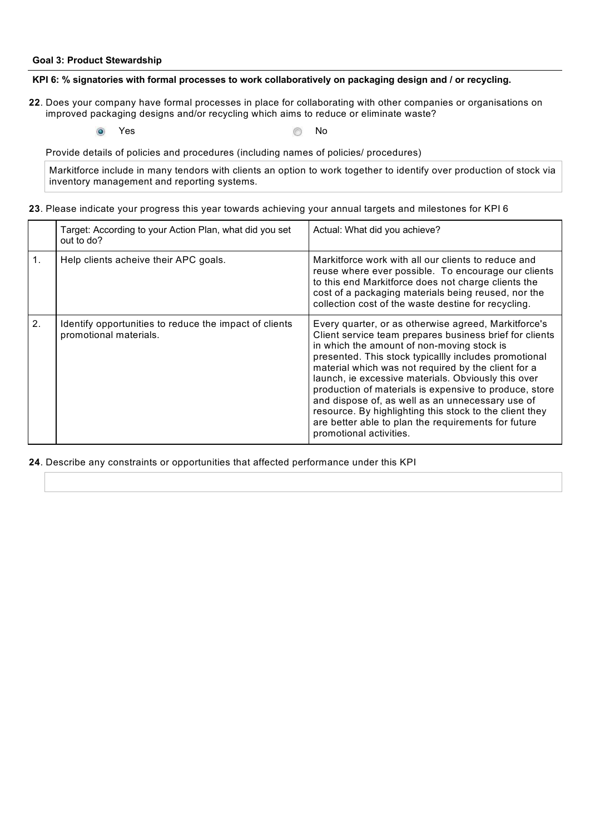#### **Goal 3: Product Stewardship**

#### **KPI 6: % signatories with formal processes to work collaboratively on packaging design and / or recycling.**

- 22. Does your company have formal processes in place for collaborating with other companies or organisations on improved packaging designs and/or recycling which aims to reduce or eliminate waste?
	- $\odot$

**Yes** No

Provide details of policies and procedures (including names of policies/ procedures)

Markitforce include in many tendors with clients an option to work together to identify over production of stock via inventory management and reporting systems.

|    | Target: According to your Action Plan, what did you set<br>out to do?            | Actual: What did you achieve?                                                                                                                                                                                                                                                                                                                                                                                                                                                                                                                                                                   |
|----|----------------------------------------------------------------------------------|-------------------------------------------------------------------------------------------------------------------------------------------------------------------------------------------------------------------------------------------------------------------------------------------------------------------------------------------------------------------------------------------------------------------------------------------------------------------------------------------------------------------------------------------------------------------------------------------------|
| 1. | Help clients acheive their APC goals.                                            | Markitforce work with all our clients to reduce and<br>reuse where ever possible. To encourage our clients<br>to this end Markitforce does not charge clients the<br>cost of a packaging materials being reused, nor the<br>collection cost of the waste destine for recycling.                                                                                                                                                                                                                                                                                                                 |
| 2. | Identify opportunities to reduce the impact of clients<br>promotional materials. | Every quarter, or as otherwise agreed, Markitforce's<br>Client service team prepares business brief for clients<br>in which the amount of non-moving stock is<br>presented. This stock typicallly includes promotional<br>material which was not required by the client for a<br>launch, ie excessive materials. Obviously this over<br>production of materials is expensive to produce, store<br>and dispose of, as well as an unnecessary use of<br>resource. By highlighting this stock to the client they<br>are better able to plan the requirements for future<br>promotional activities. |

Please indicate your progress this year towards achieving your annual targets and milestones for KPI 6 **23**.

**24**. Describe any constraints or opportunities that affected performance under this KPI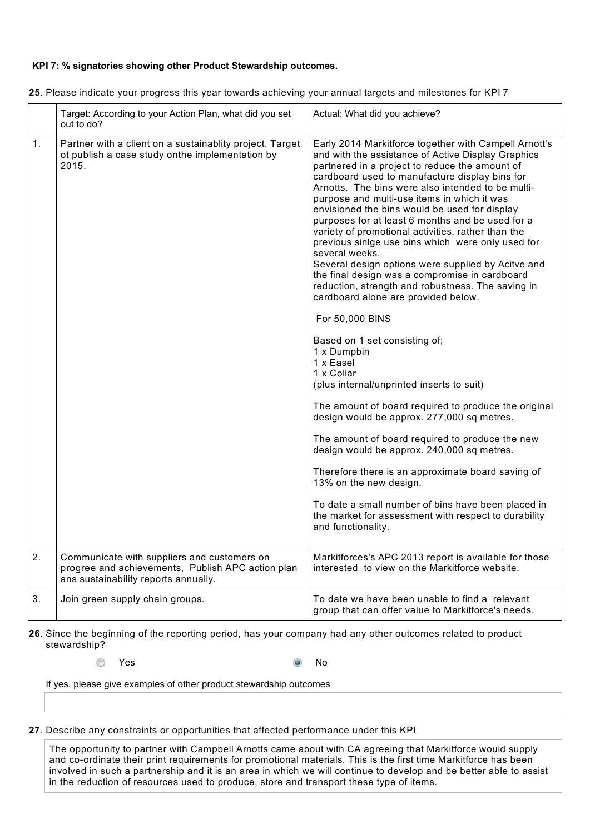# **KPI 7: % signatories showing other Product Stewardship outcomes.**

|    | Target: According to your Action Plan, what did you set<br>out to do?                                                                    | Actual: What did you achieve?                                                                                                                                                                                                                                                                                                                                                                                                                                                                                                                                                                                                                                                                                                                                                                                                                                                                                                                                                                                                                                                                                                                                                                                                                                                                                                  |
|----|------------------------------------------------------------------------------------------------------------------------------------------|--------------------------------------------------------------------------------------------------------------------------------------------------------------------------------------------------------------------------------------------------------------------------------------------------------------------------------------------------------------------------------------------------------------------------------------------------------------------------------------------------------------------------------------------------------------------------------------------------------------------------------------------------------------------------------------------------------------------------------------------------------------------------------------------------------------------------------------------------------------------------------------------------------------------------------------------------------------------------------------------------------------------------------------------------------------------------------------------------------------------------------------------------------------------------------------------------------------------------------------------------------------------------------------------------------------------------------|
| 1. | Partner with a client on a sustainablity project. Target<br>ot publish a case study onthe implementation by<br>2015.                     | Early 2014 Markitforce together with Campell Arnott's<br>and with the assistance of Active Display Graphics<br>partnered in a project to reduce the amount of<br>cardboard used to manufacture display bins for<br>Arnotts. The bins were also intended to be multi-<br>purpose and multi-use items in which it was<br>envisioned the bins would be used for display<br>purposes for at least 6 months and be used for a<br>variety of promotional activities, rather than the<br>previous sinige use bins which were only used for<br>several weeks.<br>Several design options were supplied by Acitve and<br>the final design was a compromise in cardboard<br>reduction, strength and robustness. The saving in<br>cardboard alone are provided below.<br>For 50,000 BINS<br>Based on 1 set consisting of;<br>1 x Dumpbin<br>1 x Easel<br>1 x Collar<br>(plus internal/unprinted inserts to suit)<br>The amount of board required to produce the original<br>design would be approx. 277,000 sq metres.<br>The amount of board required to produce the new<br>design would be approx. 240,000 sq metres.<br>Therefore there is an approximate board saving of<br>13% on the new design.<br>To date a small number of bins have been placed in<br>the market for assessment with respect to durability<br>and functionality. |
|    |                                                                                                                                          |                                                                                                                                                                                                                                                                                                                                                                                                                                                                                                                                                                                                                                                                                                                                                                                                                                                                                                                                                                                                                                                                                                                                                                                                                                                                                                                                |
| 2. | Communicate with suppliers and customers on<br>progree and achievements, Publish APC action plan<br>ans sustainability reports annually. | Markitforces's APC 2013 report is available for those<br>interested to view on the Markitforce website.                                                                                                                                                                                                                                                                                                                                                                                                                                                                                                                                                                                                                                                                                                                                                                                                                                                                                                                                                                                                                                                                                                                                                                                                                        |
| 3. | Join green supply chain groups.                                                                                                          | To date we have been unable to find a relevant<br>group that can offer value to Markitforce's needs.                                                                                                                                                                                                                                                                                                                                                                                                                                                                                                                                                                                                                                                                                                                                                                                                                                                                                                                                                                                                                                                                                                                                                                                                                           |

Please indicate your progress this year towards achieving your annual targets and milestones for KPI 7 **25**.

**26**. Since the beginning of the reporting period, has your company had any other outcomes related to product stewardship?

**Yes** No

If yes, please give examples of other product stewardship outcomes

27. Describe any constraints or opportunities that affected performance under this KPI

The opportunity to partner with Campbell Arnotts came about with CA agreeing that Markitforce would supply and co-ordinate their print requirements for promotional materials. This is the first time Markitforce has been involved in such a partnership and it is an area in which we will continue to develop and be better able to assist in the reduction of resources used to produce, store and transport these type of items.